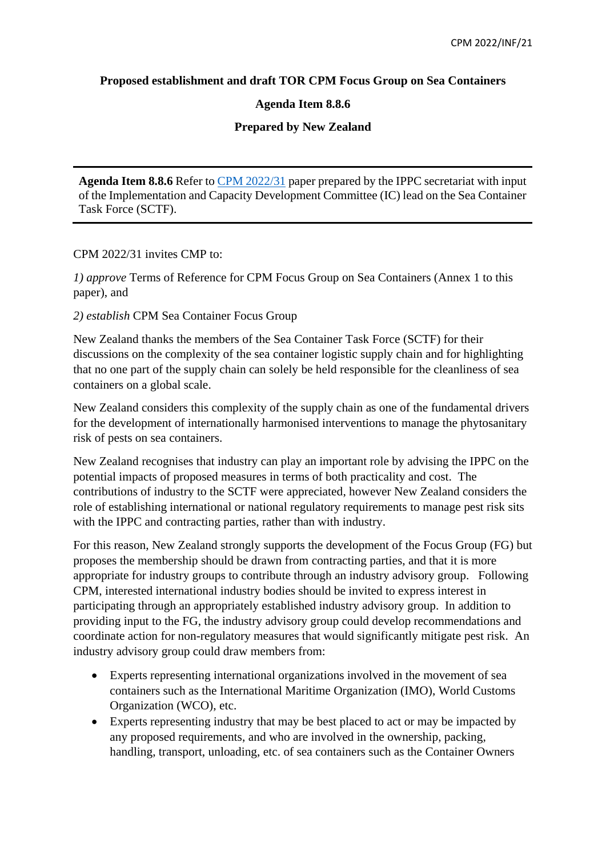### **Proposed establishment and draft TOR CPM Focus Group on Sea Containers**

### **Agenda Item 8.8.6**

# **Prepared by New Zealand**

**Agenda Item 8.8.6** Refer t[o CPM 2022/31](https://ippc.int/en/publications/90713/) paper prepared by the IPPC secretariat with input of the Implementation and Capacity Development Committee (IC) lead on the Sea Container Task Force (SCTF).

CPM 2022/31 invites CMP to:

*1) approve* Terms of Reference for CPM Focus Group on Sea Containers (Annex 1 to this paper), and

*2) establish* CPM Sea Container Focus Group

New Zealand thanks the members of the Sea Container Task Force (SCTF) for their discussions on the complexity of the sea container logistic supply chain and for highlighting that no one part of the supply chain can solely be held responsible for the cleanliness of sea containers on a global scale.

New Zealand considers this complexity of the supply chain as one of the fundamental drivers for the development of internationally harmonised interventions to manage the phytosanitary risk of pests on sea containers.

New Zealand recognises that industry can play an important role by advising the IPPC on the potential impacts of proposed measures in terms of both practicality and cost. The contributions of industry to the SCTF were appreciated, however New Zealand considers the role of establishing international or national regulatory requirements to manage pest risk sits with the IPPC and contracting parties, rather than with industry.

For this reason, New Zealand strongly supports the development of the Focus Group (FG) but proposes the membership should be drawn from contracting parties, and that it is more appropriate for industry groups to contribute through an industry advisory group. Following CPM, interested international industry bodies should be invited to express interest in participating through an appropriately established industry advisory group. In addition to providing input to the FG, the industry advisory group could develop recommendations and coordinate action for non-regulatory measures that would significantly mitigate pest risk. An industry advisory group could draw members from:

- Experts representing international organizations involved in the movement of sea containers such as the International Maritime Organization (IMO), World Customs Organization (WCO), etc.
- Experts representing industry that may be best placed to act or may be impacted by any proposed requirements, and who are involved in the ownership, packing, handling, transport, unloading, etc. of sea containers such as the Container Owners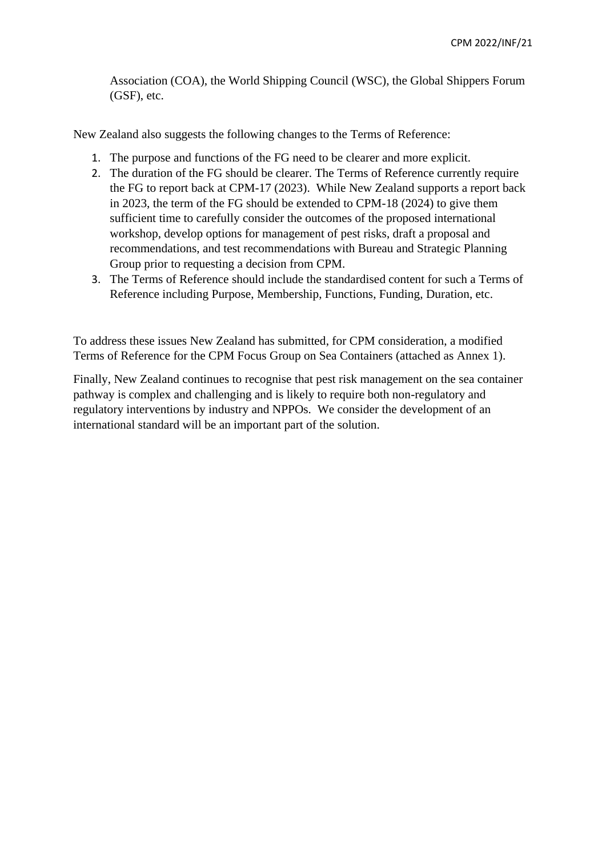Association (COA), the World Shipping Council (WSC), the Global Shippers Forum (GSF), etc.

New Zealand also suggests the following changes to the Terms of Reference:

- 1. The purpose and functions of the FG need to be clearer and more explicit.
- 2. The duration of the FG should be clearer. The Terms of Reference currently require the FG to report back at CPM-17 (2023). While New Zealand supports a report back in 2023, the term of the FG should be extended to CPM-18 (2024) to give them sufficient time to carefully consider the outcomes of the proposed international workshop, develop options for management of pest risks, draft a proposal and recommendations, and test recommendations with Bureau and Strategic Planning Group prior to requesting a decision from CPM.
- 3. The Terms of Reference should include the standardised content for such a Terms of Reference including Purpose, Membership, Functions, Funding, Duration, etc.

To address these issues New Zealand has submitted, for CPM consideration, a modified Terms of Reference for the CPM Focus Group on Sea Containers (attached as Annex 1).

Finally, New Zealand continues to recognise that pest risk management on the sea container pathway is complex and challenging and is likely to require both non-regulatory and regulatory interventions by industry and NPPOs. We consider the development of an international standard will be an important part of the solution.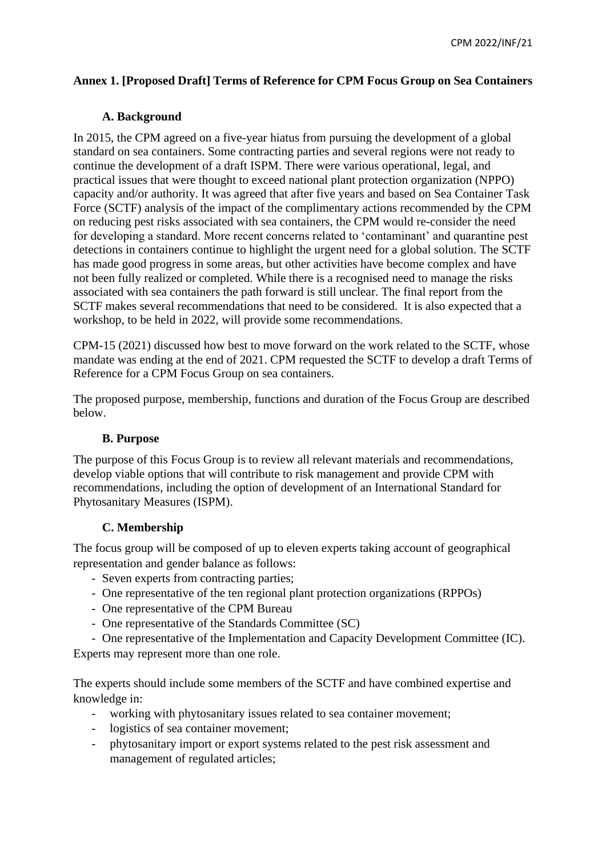# **Annex 1. [Proposed Draft] Terms of Reference for CPM Focus Group on Sea Containers**

### **A. Background**

In 2015, the CPM agreed on a five-year hiatus from pursuing the development of a global standard on sea containers. Some contracting parties and several regions were not ready to continue the development of a draft ISPM. There were various operational, legal, and practical issues that were thought to exceed national plant protection organization (NPPO) capacity and/or authority. It was agreed that after five years and based on Sea Container Task Force (SCTF) analysis of the impact of the complimentary actions recommended by the CPM on reducing pest risks associated with sea containers, the CPM would re-consider the need for developing a standard. More recent concerns related to 'contaminant' and quarantine pest detections in containers continue to highlight the urgent need for a global solution. The SCTF has made good progress in some areas, but other activities have become complex and have not been fully realized or completed. While there is a recognised need to manage the risks associated with sea containers the path forward is still unclear. The final report from the SCTF makes several recommendations that need to be considered. It is also expected that a workshop, to be held in 2022, will provide some recommendations.

CPM-15 (2021) discussed how best to move forward on the work related to the SCTF, whose mandate was ending at the end of 2021. CPM requested the SCTF to develop a draft Terms of Reference for a CPM Focus Group on sea containers.

The proposed purpose, membership, functions and duration of the Focus Group are described below.

### **B. Purpose**

The purpose of this Focus Group is to review all relevant materials and recommendations, develop viable options that will contribute to risk management and provide CPM with recommendations, including the option of development of an International Standard for Phytosanitary Measures (ISPM).

### **C. Membership**

The focus group will be composed of up to eleven experts taking account of geographical representation and gender balance as follows:

- Seven experts from contracting parties;
- One representative of the ten regional plant protection organizations (RPPOs)
- One representative of the CPM Bureau
- One representative of the Standards Committee (SC)

- One representative of the Implementation and Capacity Development Committee (IC).

Experts may represent more than one role.

The experts should include some members of the SCTF and have combined expertise and knowledge in:

- working with phytosanitary issues related to sea container movement;
- logistics of sea container movement;
- phytosanitary import or export systems related to the pest risk assessment and management of regulated articles;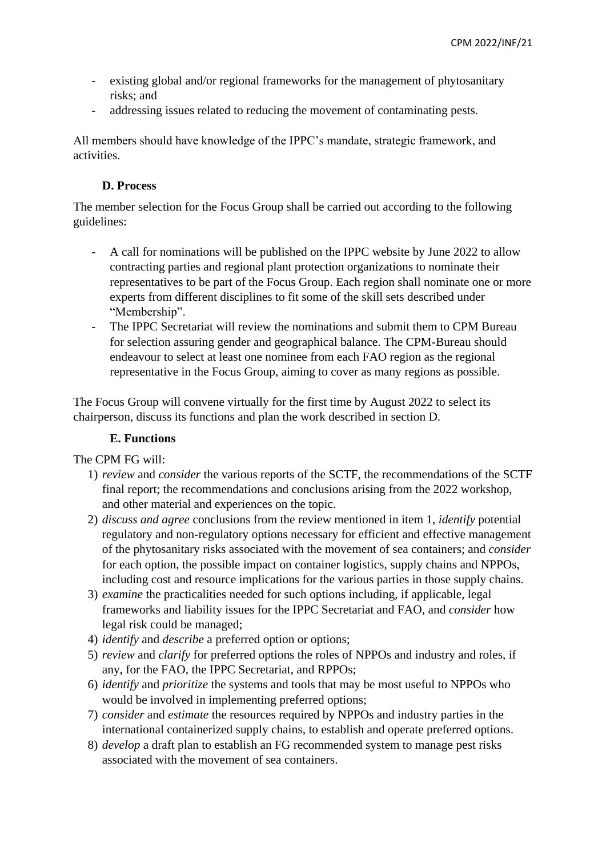- existing global and/or regional frameworks for the management of phytosanitary risks; and
- addressing issues related to reducing the movement of contaminating pests.

All members should have knowledge of the IPPC's mandate, strategic framework, and activities.

### **D. Process**

The member selection for the Focus Group shall be carried out according to the following guidelines:

- A call for nominations will be published on the IPPC website by June 2022 to allow contracting parties and regional plant protection organizations to nominate their representatives to be part of the Focus Group. Each region shall nominate one or more experts from different disciplines to fit some of the skill sets described under "Membership".
- The IPPC Secretariat will review the nominations and submit them to CPM Bureau for selection assuring gender and geographical balance. The CPM-Bureau should endeavour to select at least one nominee from each FAO region as the regional representative in the Focus Group, aiming to cover as many regions as possible.

The Focus Group will convene virtually for the first time by August 2022 to select its chairperson, discuss its functions and plan the work described in section D.

### **E. Functions**

The CPM FG will:

- 1) *review* and *consider* the various reports of the SCTF, the recommendations of the SCTF final report; the recommendations and conclusions arising from the 2022 workshop, and other material and experiences on the topic.
- 2) *discuss and agree* conclusions from the review mentioned in item 1, *identify* potential regulatory and non-regulatory options necessary for efficient and effective management of the phytosanitary risks associated with the movement of sea containers; and *consider* for each option, the possible impact on container logistics, supply chains and NPPOs, including cost and resource implications for the various parties in those supply chains.
- 3) *examine* the practicalities needed for such options including, if applicable, legal frameworks and liability issues for the IPPC Secretariat and FAO, and *consider* how legal risk could be managed;
- 4) *identify* and *describe* a preferred option or options;
- 5) *review* and *clarify* for preferred options the roles of NPPOs and industry and roles, if any, for the FAO, the IPPC Secretariat, and RPPOs;
- 6) *identify* and *prioritize* the systems and tools that may be most useful to NPPOs who would be involved in implementing preferred options;
- 7) *consider* and *estimate* the resources required by NPPOs and industry parties in the international containerized supply chains, to establish and operate preferred options.
- 8) *develop* a draft plan to establish an FG recommended system to manage pest risks associated with the movement of sea containers.